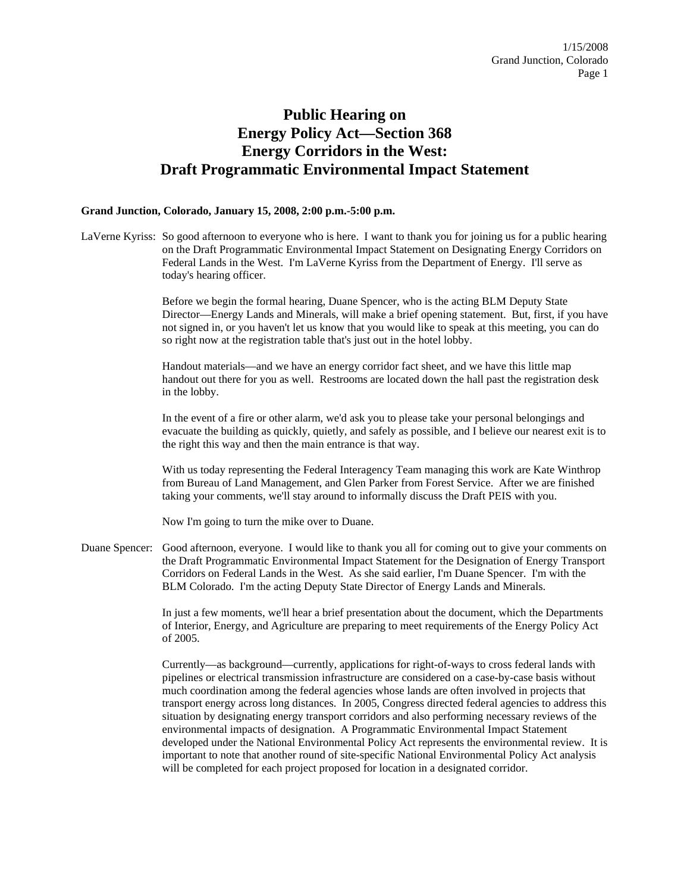## **Public Hearing on Energy Policy Act—Section 368 Energy Corridors in the West: Draft Programmatic Environmental Impact Statement**

## **Grand Junction, Colorado, January 15, 2008, 2:00 p.m.-5:00 p.m.**

LaVerne Kyriss: So good afternoon to everyone who is here. I want to thank you for joining us for a public hearing on the Draft Programmatic Environmental Impact Statement on Designating Energy Corridors on Federal Lands in the West. I'm LaVerne Kyriss from the Department of Energy. I'll serve as today's hearing officer.

> Before we begin the formal hearing, Duane Spencer, who is the acting BLM Deputy State Director—Energy Lands and Minerals, will make a brief opening statement. But, first, if you have not signed in, or you haven't let us know that you would like to speak at this meeting, you can do so right now at the registration table that's just out in the hotel lobby.

Handout materials—and we have an energy corridor fact sheet, and we have this little map handout out there for you as well. Restrooms are located down the hall past the registration desk in the lobby.

In the event of a fire or other alarm, we'd ask you to please take your personal belongings and evacuate the building as quickly, quietly, and safely as possible, and I believe our nearest exit is to the right this way and then the main entrance is that way.

With us today representing the Federal Interagency Team managing this work are Kate Winthrop from Bureau of Land Management, and Glen Parker from Forest Service. After we are finished taking your comments, we'll stay around to informally discuss the Draft PEIS with you.

Now I'm going to turn the mike over to Duane.

Duane Spencer: Good afternoon, everyone. I would like to thank you all for coming out to give your comments on the Draft Programmatic Environmental Impact Statement for the Designation of Energy Transport Corridors on Federal Lands in the West. As she said earlier, I'm Duane Spencer. I'm with the BLM Colorado. I'm the acting Deputy State Director of Energy Lands and Minerals.

> In just a few moments, we'll hear a brief presentation about the document, which the Departments of Interior, Energy, and Agriculture are preparing to meet requirements of the Energy Policy Act of 2005.

Currently—as background—currently, applications for right-of-ways to cross federal lands with pipelines or electrical transmission infrastructure are considered on a case-by-case basis without much coordination among the federal agencies whose lands are often involved in projects that transport energy across long distances. In 2005, Congress directed federal agencies to address this situation by designating energy transport corridors and also performing necessary reviews of the environmental impacts of designation. A Programmatic Environmental Impact Statement developed under the National Environmental Policy Act represents the environmental review. It is important to note that another round of site-specific National Environmental Policy Act analysis will be completed for each project proposed for location in a designated corridor.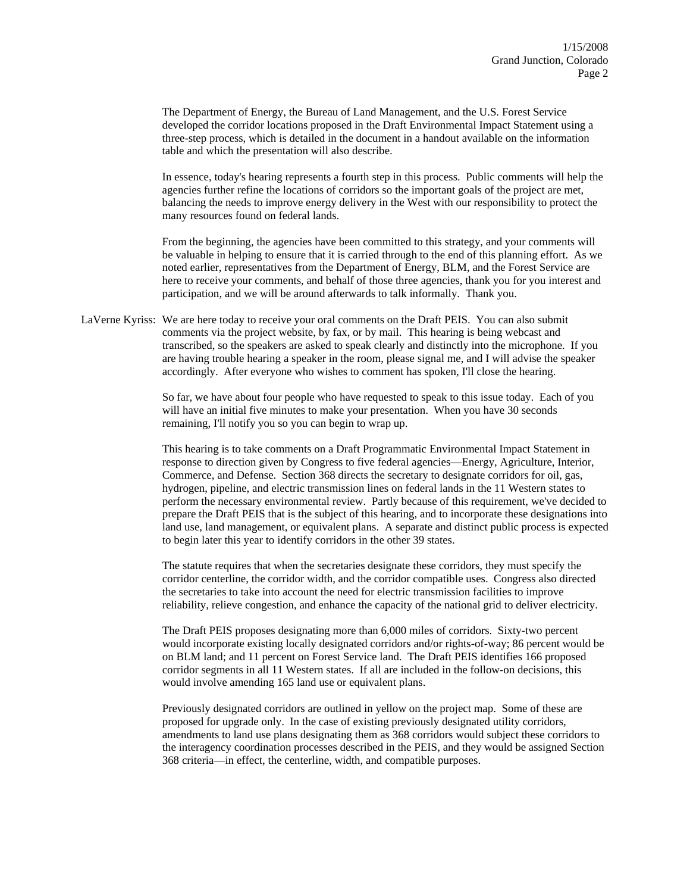The Department of Energy, the Bureau of Land Management, and the U.S. Forest Service developed the corridor locations proposed in the Draft Environmental Impact Statement using a three-step process, which is detailed in the document in a handout available on the information table and which the presentation will also describe.

In essence, today's hearing represents a fourth step in this process. Public comments will help the agencies further refine the locations of corridors so the important goals of the project are met, balancing the needs to improve energy delivery in the West with our responsibility to protect the many resources found on federal lands.

From the beginning, the agencies have been committed to this strategy, and your comments will be valuable in helping to ensure that it is carried through to the end of this planning effort. As we noted earlier, representatives from the Department of Energy, BLM, and the Forest Service are here to receive your comments, and behalf of those three agencies, thank you for you interest and participation, and we will be around afterwards to talk informally. Thank you.

LaVerne Kyriss: We are here today to receive your oral comments on the Draft PEIS. You can also submit comments via the project website, by fax, or by mail. This hearing is being webcast and transcribed, so the speakers are asked to speak clearly and distinctly into the microphone. If you are having trouble hearing a speaker in the room, please signal me, and I will advise the speaker accordingly. After everyone who wishes to comment has spoken, I'll close the hearing.

> So far, we have about four people who have requested to speak to this issue today. Each of you will have an initial five minutes to make your presentation. When you have 30 seconds remaining, I'll notify you so you can begin to wrap up.

This hearing is to take comments on a Draft Programmatic Environmental Impact Statement in response to direction given by Congress to five federal agencies—Energy, Agriculture, Interior, Commerce, and Defense. Section 368 directs the secretary to designate corridors for oil, gas, hydrogen, pipeline, and electric transmission lines on federal lands in the 11 Western states to perform the necessary environmental review. Partly because of this requirement, we've decided to prepare the Draft PEIS that is the subject of this hearing, and to incorporate these designations into land use, land management, or equivalent plans. A separate and distinct public process is expected to begin later this year to identify corridors in the other 39 states.

The statute requires that when the secretaries designate these corridors, they must specify the corridor centerline, the corridor width, and the corridor compatible uses. Congress also directed the secretaries to take into account the need for electric transmission facilities to improve reliability, relieve congestion, and enhance the capacity of the national grid to deliver electricity.

The Draft PEIS proposes designating more than 6,000 miles of corridors. Sixty-two percent would incorporate existing locally designated corridors and/or rights-of-way; 86 percent would be on BLM land; and 11 percent on Forest Service land. The Draft PEIS identifies 166 proposed corridor segments in all 11 Western states. If all are included in the follow-on decisions, this would involve amending 165 land use or equivalent plans.

Previously designated corridors are outlined in yellow on the project map. Some of these are proposed for upgrade only. In the case of existing previously designated utility corridors, amendments to land use plans designating them as 368 corridors would subject these corridors to the interagency coordination processes described in the PEIS, and they would be assigned Section 368 criteria—in effect, the centerline, width, and compatible purposes.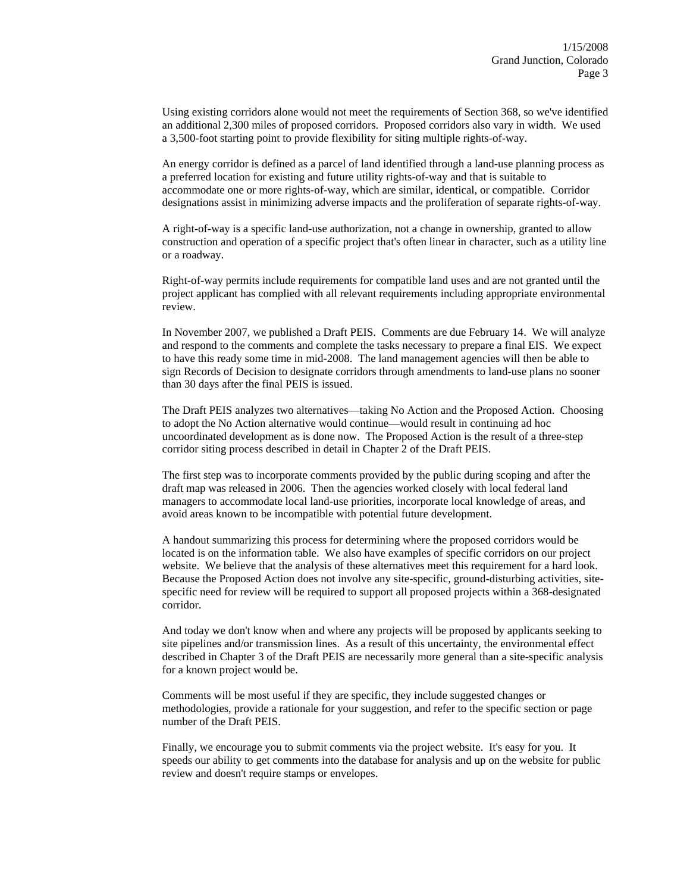Using existing corridors alone would not meet the requirements of Section 368, so we've identified an additional 2,300 miles of proposed corridors. Proposed corridors also vary in width. We used a 3,500-foot starting point to provide flexibility for siting multiple rights-of-way.

An energy corridor is defined as a parcel of land identified through a land-use planning process as a preferred location for existing and future utility rights-of-way and that is suitable to accommodate one or more rights-of-way, which are similar, identical, or compatible. Corridor designations assist in minimizing adverse impacts and the proliferation of separate rights-of-way.

A right-of-way is a specific land-use authorization, not a change in ownership, granted to allow construction and operation of a specific project that's often linear in character, such as a utility line or a roadway.

Right-of-way permits include requirements for compatible land uses and are not granted until the project applicant has complied with all relevant requirements including appropriate environmental review.

In November 2007, we published a Draft PEIS. Comments are due February 14. We will analyze and respond to the comments and complete the tasks necessary to prepare a final EIS. We expect to have this ready some time in mid-2008. The land management agencies will then be able to sign Records of Decision to designate corridors through amendments to land-use plans no sooner than 30 days after the final PEIS is issued.

The Draft PEIS analyzes two alternatives—taking No Action and the Proposed Action. Choosing to adopt the No Action alternative would continue—would result in continuing ad hoc uncoordinated development as is done now. The Proposed Action is the result of a three-step corridor siting process described in detail in Chapter 2 of the Draft PEIS.

The first step was to incorporate comments provided by the public during scoping and after the draft map was released in 2006. Then the agencies worked closely with local federal land managers to accommodate local land-use priorities, incorporate local knowledge of areas, and avoid areas known to be incompatible with potential future development.

A handout summarizing this process for determining where the proposed corridors would be located is on the information table. We also have examples of specific corridors on our project website. We believe that the analysis of these alternatives meet this requirement for a hard look. Because the Proposed Action does not involve any site-specific, ground-disturbing activities, sitespecific need for review will be required to support all proposed projects within a 368-designated corridor.

And today we don't know when and where any projects will be proposed by applicants seeking to site pipelines and/or transmission lines. As a result of this uncertainty, the environmental effect described in Chapter 3 of the Draft PEIS are necessarily more general than a site-specific analysis for a known project would be.

Comments will be most useful if they are specific, they include suggested changes or methodologies, provide a rationale for your suggestion, and refer to the specific section or page number of the Draft PEIS.

Finally, we encourage you to submit comments via the project website. It's easy for you. It speeds our ability to get comments into the database for analysis and up on the website for public review and doesn't require stamps or envelopes.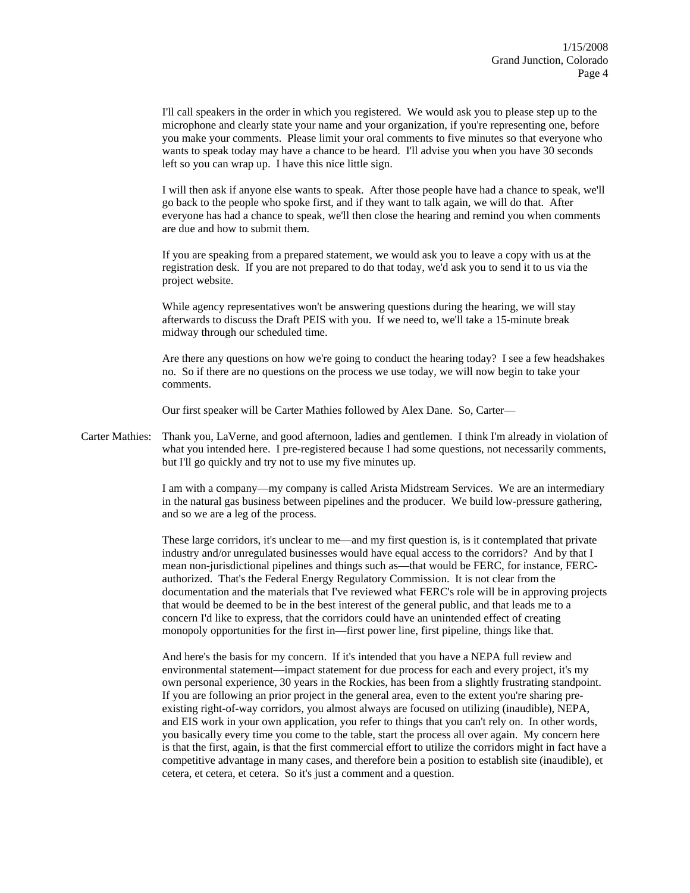I'll call speakers in the order in which you registered. We would ask you to please step up to the microphone and clearly state your name and your organization, if you're representing one, before you make your comments. Please limit your oral comments to five minutes so that everyone who wants to speak today may have a chance to be heard. I'll advise you when you have 30 seconds left so you can wrap up. I have this nice little sign.

I will then ask if anyone else wants to speak. After those people have had a chance to speak, we'll go back to the people who spoke first, and if they want to talk again, we will do that. After everyone has had a chance to speak, we'll then close the hearing and remind you when comments are due and how to submit them.

If you are speaking from a prepared statement, we would ask you to leave a copy with us at the registration desk. If you are not prepared to do that today, we'd ask you to send it to us via the project website.

While agency representatives won't be answering questions during the hearing, we will stay afterwards to discuss the Draft PEIS with you. If we need to, we'll take a 15-minute break midway through our scheduled time.

Are there any questions on how we're going to conduct the hearing today? I see a few headshakes no. So if there are no questions on the process we use today, we will now begin to take your comments.

Our first speaker will be Carter Mathies followed by Alex Dane. So, Carter—

Carter Mathies: Thank you, LaVerne, and good afternoon, ladies and gentlemen. I think I'm already in violation of what you intended here. I pre-registered because I had some questions, not necessarily comments, but I'll go quickly and try not to use my five minutes up.

> I am with a company—my company is called Arista Midstream Services. We are an intermediary in the natural gas business between pipelines and the producer. We build low-pressure gathering, and so we are a leg of the process.

> These large corridors, it's unclear to me—and my first question is, is it contemplated that private industry and/or unregulated businesses would have equal access to the corridors? And by that I mean non-jurisdictional pipelines and things such as—that would be FERC, for instance, FERCauthorized. That's the Federal Energy Regulatory Commission. It is not clear from the documentation and the materials that I've reviewed what FERC's role will be in approving projects that would be deemed to be in the best interest of the general public, and that leads me to a concern I'd like to express, that the corridors could have an unintended effect of creating monopoly opportunities for the first in—first power line, first pipeline, things like that.

> And here's the basis for my concern. If it's intended that you have a NEPA full review and environmental statement—impact statement for due process for each and every project, it's my own personal experience, 30 years in the Rockies, has been from a slightly frustrating standpoint. If you are following an prior project in the general area, even to the extent you're sharing preexisting right-of-way corridors, you almost always are focused on utilizing (inaudible), NEPA, and EIS work in your own application, you refer to things that you can't rely on. In other words, you basically every time you come to the table, start the process all over again. My concern here is that the first, again, is that the first commercial effort to utilize the corridors might in fact have a competitive advantage in many cases, and therefore bein a position to establish site (inaudible), et cetera, et cetera, et cetera. So it's just a comment and a question.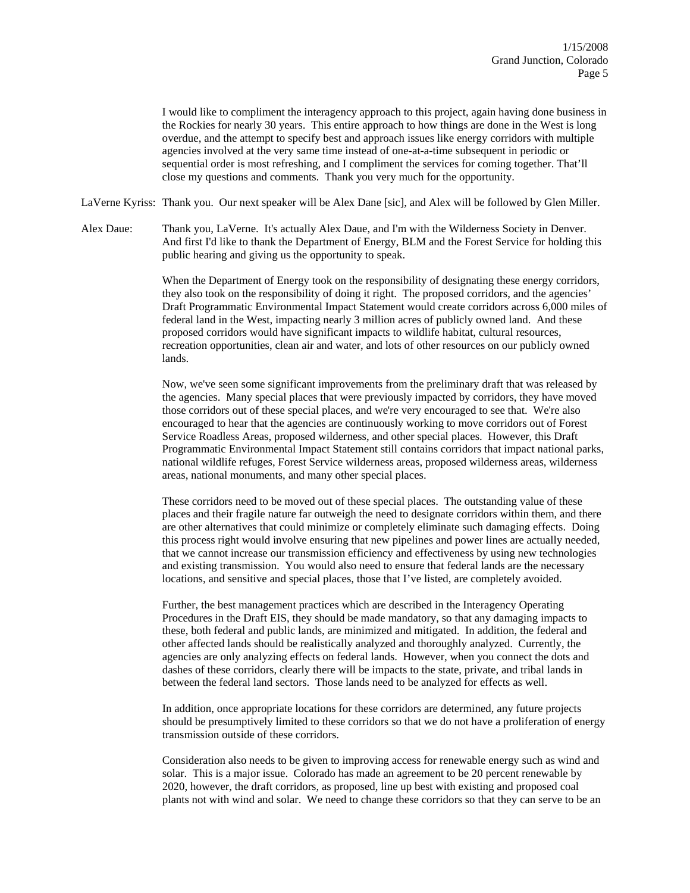I would like to compliment the interagency approach to this project, again having done business in the Rockies for nearly 30 years. This entire approach to how things are done in the West is long overdue, and the attempt to specify best and approach issues like energy corridors with multiple agencies involved at the very same time instead of one-at-a-time subsequent in periodic or sequential order is most refreshing, and I compliment the services for coming together. That'll close my questions and comments. Thank you very much for the opportunity.

LaVerne Kyriss: Thank you. Our next speaker will be Alex Dane [sic], and Alex will be followed by Glen Miller.

Alex Daue: Thank you, LaVerne. It's actually Alex Daue, and I'm with the Wilderness Society in Denver. And first I'd like to thank the Department of Energy, BLM and the Forest Service for holding this public hearing and giving us the opportunity to speak.

> When the Department of Energy took on the responsibility of designating these energy corridors, they also took on the responsibility of doing it right. The proposed corridors, and the agencies' Draft Programmatic Environmental Impact Statement would create corridors across 6,000 miles of federal land in the West, impacting nearly 3 million acres of publicly owned land. And these proposed corridors would have significant impacts to wildlife habitat, cultural resources, recreation opportunities, clean air and water, and lots of other resources on our publicly owned lands.

> Now, we've seen some significant improvements from the preliminary draft that was released by the agencies. Many special places that were previously impacted by corridors, they have moved those corridors out of these special places, and we're very encouraged to see that. We're also encouraged to hear that the agencies are continuously working to move corridors out of Forest Service Roadless Areas, proposed wilderness, and other special places. However, this Draft Programmatic Environmental Impact Statement still contains corridors that impact national parks, national wildlife refuges, Forest Service wilderness areas, proposed wilderness areas, wilderness areas, national monuments, and many other special places.

> These corridors need to be moved out of these special places. The outstanding value of these places and their fragile nature far outweigh the need to designate corridors within them, and there are other alternatives that could minimize or completely eliminate such damaging effects. Doing this process right would involve ensuring that new pipelines and power lines are actually needed, that we cannot increase our transmission efficiency and effectiveness by using new technologies and existing transmission. You would also need to ensure that federal lands are the necessary locations, and sensitive and special places, those that I've listed, are completely avoided.

Further, the best management practices which are described in the Interagency Operating Procedures in the Draft EIS, they should be made mandatory, so that any damaging impacts to these, both federal and public lands, are minimized and mitigated. In addition, the federal and other affected lands should be realistically analyzed and thoroughly analyzed. Currently, the agencies are only analyzing effects on federal lands. However, when you connect the dots and dashes of these corridors, clearly there will be impacts to the state, private, and tribal lands in between the federal land sectors. Those lands need to be analyzed for effects as well.

In addition, once appropriate locations for these corridors are determined, any future projects should be presumptively limited to these corridors so that we do not have a proliferation of energy transmission outside of these corridors.

Consideration also needs to be given to improving access for renewable energy such as wind and solar. This is a major issue. Colorado has made an agreement to be 20 percent renewable by 2020, however, the draft corridors, as proposed, line up best with existing and proposed coal plants not with wind and solar. We need to change these corridors so that they can serve to be an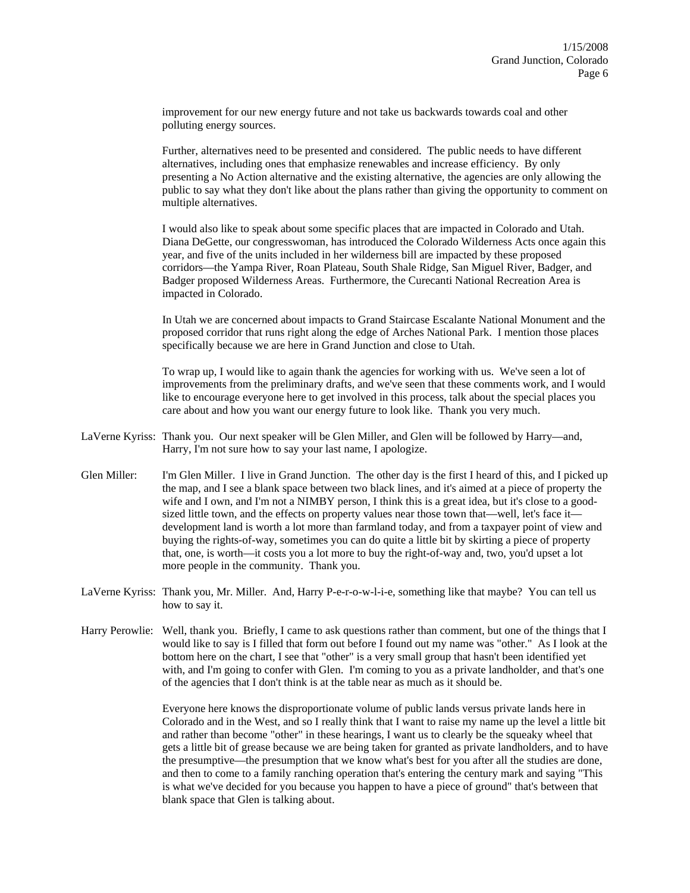improvement for our new energy future and not take us backwards towards coal and other polluting energy sources.

Further, alternatives need to be presented and considered. The public needs to have different alternatives, including ones that emphasize renewables and increase efficiency. By only presenting a No Action alternative and the existing alternative, the agencies are only allowing the public to say what they don't like about the plans rather than giving the opportunity to comment on multiple alternatives.

I would also like to speak about some specific places that are impacted in Colorado and Utah. Diana DeGette, our congresswoman, has introduced the Colorado Wilderness Acts once again this year, and five of the units included in her wilderness bill are impacted by these proposed corridors—the Yampa River, Roan Plateau, South Shale Ridge, San Miguel River, Badger, and Badger proposed Wilderness Areas. Furthermore, the Curecanti National Recreation Area is impacted in Colorado.

In Utah we are concerned about impacts to Grand Staircase Escalante National Monument and the proposed corridor that runs right along the edge of Arches National Park. I mention those places specifically because we are here in Grand Junction and close to Utah.

To wrap up, I would like to again thank the agencies for working with us. We've seen a lot of improvements from the preliminary drafts, and we've seen that these comments work, and I would like to encourage everyone here to get involved in this process, talk about the special places you care about and how you want our energy future to look like. Thank you very much.

- LaVerne Kyriss: Thank you. Our next speaker will be Glen Miller, and Glen will be followed by Harry—and, Harry, I'm not sure how to say your last name, I apologize.
- Glen Miller: I'm Glen Miller. I live in Grand Junction. The other day is the first I heard of this, and I picked up the map, and I see a blank space between two black lines, and it's aimed at a piece of property the wife and I own, and I'm not a NIMBY person, I think this is a great idea, but it's close to a goodsized little town, and the effects on property values near those town that—well, let's face it development land is worth a lot more than farmland today, and from a taxpayer point of view and buying the rights-of-way, sometimes you can do quite a little bit by skirting a piece of property that, one, is worth—it costs you a lot more to buy the right-of-way and, two, you'd upset a lot more people in the community. Thank you.
- LaVerne Kyriss: Thank you, Mr. Miller. And, Harry P-e-r-o-w-l-i-e, something like that maybe? You can tell us how to say it.
- Harry Perowlie: Well, thank you. Briefly, I came to ask questions rather than comment, but one of the things that I would like to say is I filled that form out before I found out my name was "other." As I look at the bottom here on the chart, I see that "other" is a very small group that hasn't been identified yet with, and I'm going to confer with Glen. I'm coming to you as a private landholder, and that's one of the agencies that I don't think is at the table near as much as it should be.

Everyone here knows the disproportionate volume of public lands versus private lands here in Colorado and in the West, and so I really think that I want to raise my name up the level a little bit and rather than become "other" in these hearings, I want us to clearly be the squeaky wheel that gets a little bit of grease because we are being taken for granted as private landholders, and to have the presumptive—the presumption that we know what's best for you after all the studies are done, and then to come to a family ranching operation that's entering the century mark and saying "This is what we've decided for you because you happen to have a piece of ground" that's between that blank space that Glen is talking about.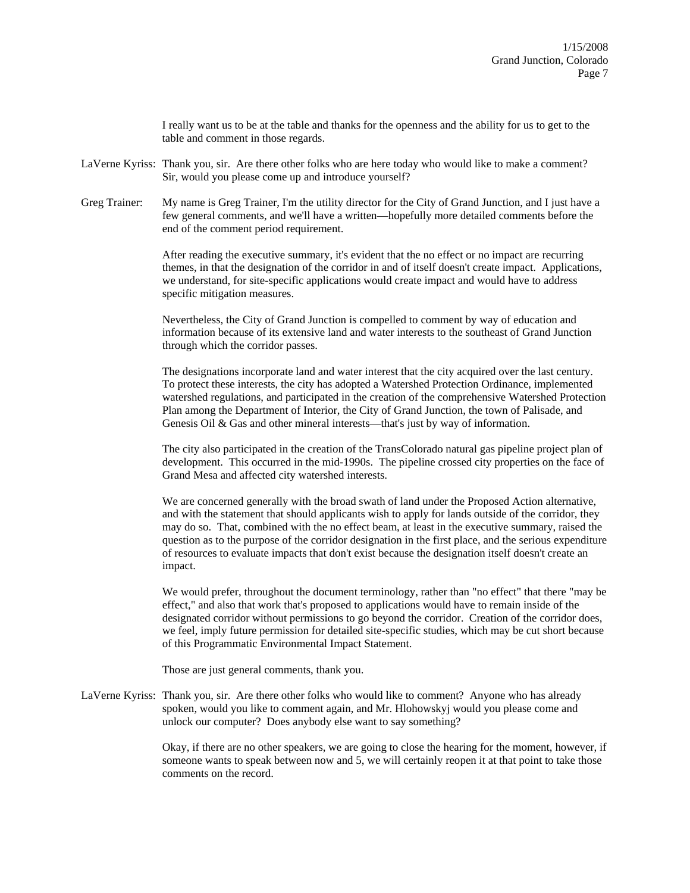I really want us to be at the table and thanks for the openness and the ability for us to get to the table and comment in those regards.

- LaVerne Kyriss: Thank you, sir. Are there other folks who are here today who would like to make a comment? Sir, would you please come up and introduce yourself?
- Greg Trainer: My name is Greg Trainer, I'm the utility director for the City of Grand Junction, and I just have a few general comments, and we'll have a written—hopefully more detailed comments before the end of the comment period requirement.

After reading the executive summary, it's evident that the no effect or no impact are recurring themes, in that the designation of the corridor in and of itself doesn't create impact. Applications, we understand, for site-specific applications would create impact and would have to address specific mitigation measures.

Nevertheless, the City of Grand Junction is compelled to comment by way of education and information because of its extensive land and water interests to the southeast of Grand Junction through which the corridor passes.

The designations incorporate land and water interest that the city acquired over the last century. To protect these interests, the city has adopted a Watershed Protection Ordinance, implemented watershed regulations, and participated in the creation of the comprehensive Watershed Protection Plan among the Department of Interior, the City of Grand Junction, the town of Palisade, and Genesis Oil & Gas and other mineral interests—that's just by way of information.

The city also participated in the creation of the TransColorado natural gas pipeline project plan of development. This occurred in the mid-1990s. The pipeline crossed city properties on the face of Grand Mesa and affected city watershed interests.

We are concerned generally with the broad swath of land under the Proposed Action alternative, and with the statement that should applicants wish to apply for lands outside of the corridor, they may do so. That, combined with the no effect beam, at least in the executive summary, raised the question as to the purpose of the corridor designation in the first place, and the serious expenditure of resources to evaluate impacts that don't exist because the designation itself doesn't create an impact.

We would prefer, throughout the document terminology, rather than "no effect" that there "may be effect," and also that work that's proposed to applications would have to remain inside of the designated corridor without permissions to go beyond the corridor. Creation of the corridor does, we feel, imply future permission for detailed site-specific studies, which may be cut short because of this Programmatic Environmental Impact Statement.

Those are just general comments, thank you.

LaVerne Kyriss: Thank you, sir. Are there other folks who would like to comment? Anyone who has already spoken, would you like to comment again, and Mr. Hlohowskyj would you please come and unlock our computer? Does anybody else want to say something?

> Okay, if there are no other speakers, we are going to close the hearing for the moment, however, if someone wants to speak between now and 5, we will certainly reopen it at that point to take those comments on the record.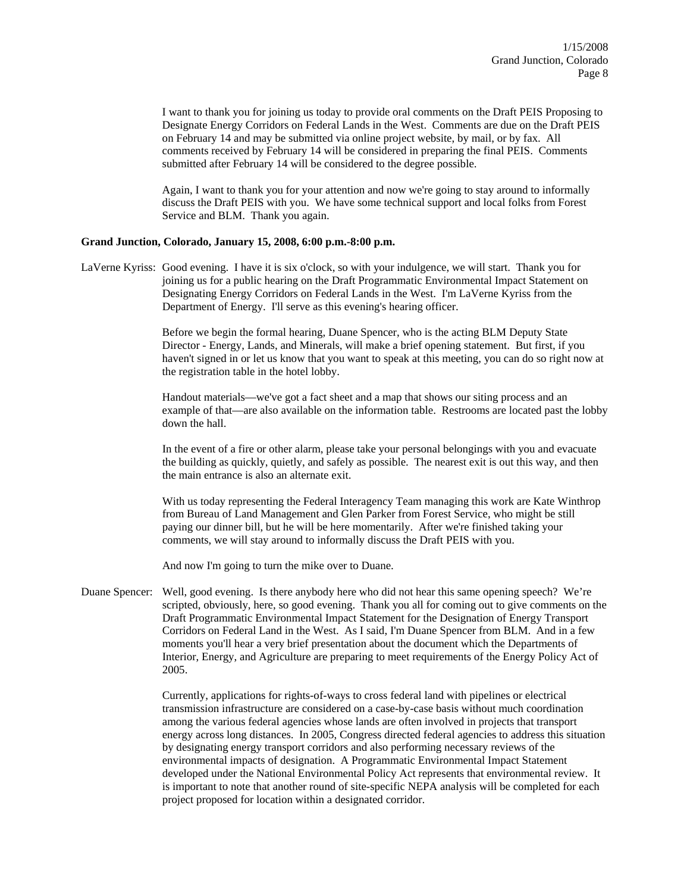I want to thank you for joining us today to provide oral comments on the Draft PEIS Proposing to Designate Energy Corridors on Federal Lands in the West. Comments are due on the Draft PEIS on February 14 and may be submitted via online project website, by mail, or by fax. All comments received by February 14 will be considered in preparing the final PEIS. Comments submitted after February 14 will be considered to the degree possible.

Again, I want to thank you for your attention and now we're going to stay around to informally discuss the Draft PEIS with you. We have some technical support and local folks from Forest Service and BLM. Thank you again.

## **Grand Junction, Colorado, January 15, 2008, 6:00 p.m.-8:00 p.m.**

LaVerne Kyriss: Good evening. I have it is six o'clock, so with your indulgence, we will start. Thank you for joining us for a public hearing on the Draft Programmatic Environmental Impact Statement on Designating Energy Corridors on Federal Lands in the West. I'm LaVerne Kyriss from the Department of Energy. I'll serve as this evening's hearing officer.

> Before we begin the formal hearing, Duane Spencer, who is the acting BLM Deputy State Director - Energy, Lands, and Minerals, will make a brief opening statement. But first, if you haven't signed in or let us know that you want to speak at this meeting, you can do so right now at the registration table in the hotel lobby.

> Handout materials—we've got a fact sheet and a map that shows our siting process and an example of that—are also available on the information table. Restrooms are located past the lobby down the hall.

In the event of a fire or other alarm, please take your personal belongings with you and evacuate the building as quickly, quietly, and safely as possible. The nearest exit is out this way, and then the main entrance is also an alternate exit.

With us today representing the Federal Interagency Team managing this work are Kate Winthrop from Bureau of Land Management and Glen Parker from Forest Service, who might be still paying our dinner bill, but he will be here momentarily. After we're finished taking your comments, we will stay around to informally discuss the Draft PEIS with you.

And now I'm going to turn the mike over to Duane.

Duane Spencer: Well, good evening. Is there anybody here who did not hear this same opening speech? We're scripted, obviously, here, so good evening. Thank you all for coming out to give comments on the Draft Programmatic Environmental Impact Statement for the Designation of Energy Transport Corridors on Federal Land in the West. As I said, I'm Duane Spencer from BLM. And in a few moments you'll hear a very brief presentation about the document which the Departments of Interior, Energy, and Agriculture are preparing to meet requirements of the Energy Policy Act of 2005.

> Currently, applications for rights-of-ways to cross federal land with pipelines or electrical transmission infrastructure are considered on a case-by-case basis without much coordination among the various federal agencies whose lands are often involved in projects that transport energy across long distances. In 2005, Congress directed federal agencies to address this situation by designating energy transport corridors and also performing necessary reviews of the environmental impacts of designation. A Programmatic Environmental Impact Statement developed under the National Environmental Policy Act represents that environmental review. It is important to note that another round of site-specific NEPA analysis will be completed for each project proposed for location within a designated corridor.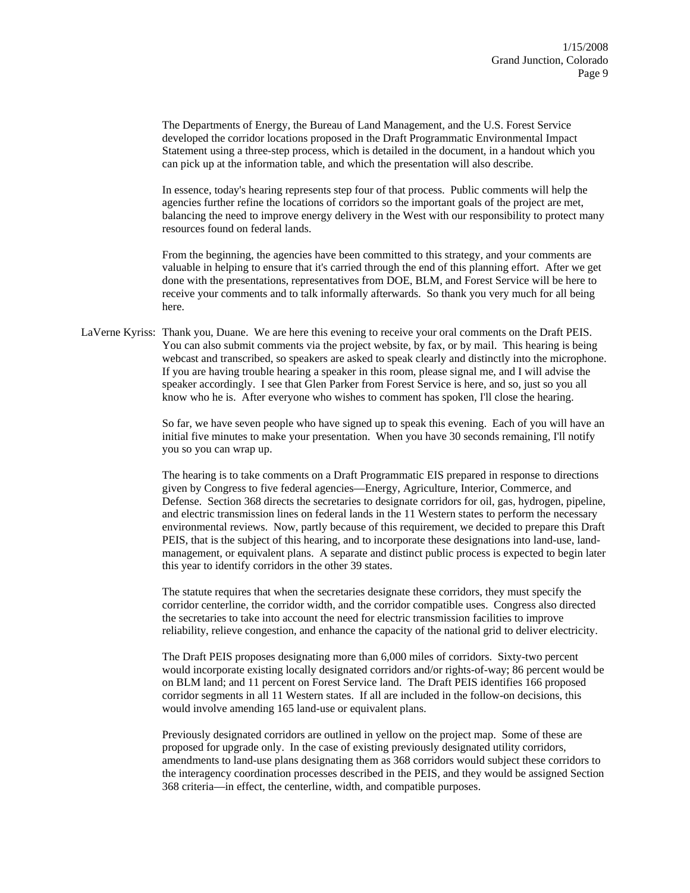The Departments of Energy, the Bureau of Land Management, and the U.S. Forest Service developed the corridor locations proposed in the Draft Programmatic Environmental Impact Statement using a three-step process, which is detailed in the document, in a handout which you can pick up at the information table, and which the presentation will also describe.

In essence, today's hearing represents step four of that process. Public comments will help the agencies further refine the locations of corridors so the important goals of the project are met, balancing the need to improve energy delivery in the West with our responsibility to protect many resources found on federal lands.

From the beginning, the agencies have been committed to this strategy, and your comments are valuable in helping to ensure that it's carried through the end of this planning effort. After we get done with the presentations, representatives from DOE, BLM, and Forest Service will be here to receive your comments and to talk informally afterwards. So thank you very much for all being here.

LaVerne Kyriss: Thank you, Duane. We are here this evening to receive your oral comments on the Draft PEIS. You can also submit comments via the project website, by fax, or by mail. This hearing is being webcast and transcribed, so speakers are asked to speak clearly and distinctly into the microphone. If you are having trouble hearing a speaker in this room, please signal me, and I will advise the speaker accordingly. I see that Glen Parker from Forest Service is here, and so, just so you all know who he is. After everyone who wishes to comment has spoken, I'll close the hearing.

> So far, we have seven people who have signed up to speak this evening. Each of you will have an initial five minutes to make your presentation. When you have 30 seconds remaining, I'll notify you so you can wrap up.

> The hearing is to take comments on a Draft Programmatic EIS prepared in response to directions given by Congress to five federal agencies—Energy, Agriculture, Interior, Commerce, and Defense. Section 368 directs the secretaries to designate corridors for oil, gas, hydrogen, pipeline, and electric transmission lines on federal lands in the 11 Western states to perform the necessary environmental reviews. Now, partly because of this requirement, we decided to prepare this Draft PEIS, that is the subject of this hearing, and to incorporate these designations into land-use, landmanagement, or equivalent plans. A separate and distinct public process is expected to begin later this year to identify corridors in the other 39 states.

The statute requires that when the secretaries designate these corridors, they must specify the corridor centerline, the corridor width, and the corridor compatible uses. Congress also directed the secretaries to take into account the need for electric transmission facilities to improve reliability, relieve congestion, and enhance the capacity of the national grid to deliver electricity.

The Draft PEIS proposes designating more than 6,000 miles of corridors. Sixty-two percent would incorporate existing locally designated corridors and/or rights-of-way; 86 percent would be on BLM land; and 11 percent on Forest Service land. The Draft PEIS identifies 166 proposed corridor segments in all 11 Western states. If all are included in the follow-on decisions, this would involve amending 165 land-use or equivalent plans.

Previously designated corridors are outlined in yellow on the project map. Some of these are proposed for upgrade only. In the case of existing previously designated utility corridors, amendments to land-use plans designating them as 368 corridors would subject these corridors to the interagency coordination processes described in the PEIS, and they would be assigned Section 368 criteria—in effect, the centerline, width, and compatible purposes.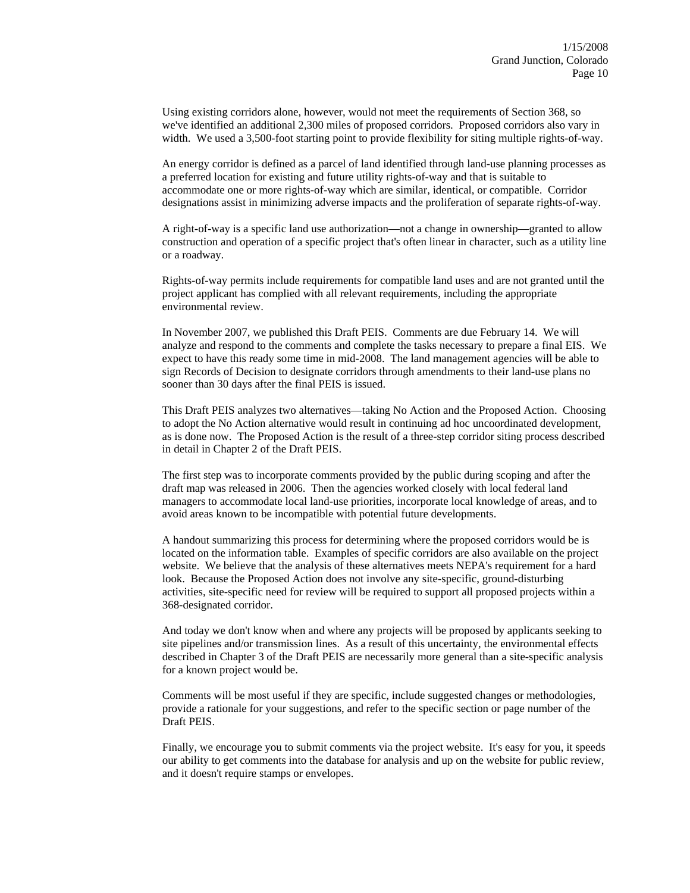Using existing corridors alone, however, would not meet the requirements of Section 368, so we've identified an additional 2,300 miles of proposed corridors. Proposed corridors also vary in width. We used a 3,500-foot starting point to provide flexibility for siting multiple rights-of-way.

An energy corridor is defined as a parcel of land identified through land-use planning processes as a preferred location for existing and future utility rights-of-way and that is suitable to accommodate one or more rights-of-way which are similar, identical, or compatible. Corridor designations assist in minimizing adverse impacts and the proliferation of separate rights-of-way.

A right-of-way is a specific land use authorization—not a change in ownership—granted to allow construction and operation of a specific project that's often linear in character, such as a utility line or a roadway.

Rights-of-way permits include requirements for compatible land uses and are not granted until the project applicant has complied with all relevant requirements, including the appropriate environmental review.

In November 2007, we published this Draft PEIS. Comments are due February 14. We will analyze and respond to the comments and complete the tasks necessary to prepare a final EIS. We expect to have this ready some time in mid-2008. The land management agencies will be able to sign Records of Decision to designate corridors through amendments to their land-use plans no sooner than 30 days after the final PEIS is issued.

This Draft PEIS analyzes two alternatives—taking No Action and the Proposed Action. Choosing to adopt the No Action alternative would result in continuing ad hoc uncoordinated development, as is done now. The Proposed Action is the result of a three-step corridor siting process described in detail in Chapter 2 of the Draft PEIS.

The first step was to incorporate comments provided by the public during scoping and after the draft map was released in 2006. Then the agencies worked closely with local federal land managers to accommodate local land-use priorities, incorporate local knowledge of areas, and to avoid areas known to be incompatible with potential future developments.

A handout summarizing this process for determining where the proposed corridors would be is located on the information table. Examples of specific corridors are also available on the project website. We believe that the analysis of these alternatives meets NEPA's requirement for a hard look. Because the Proposed Action does not involve any site-specific, ground-disturbing activities, site-specific need for review will be required to support all proposed projects within a 368-designated corridor.

And today we don't know when and where any projects will be proposed by applicants seeking to site pipelines and/or transmission lines. As a result of this uncertainty, the environmental effects described in Chapter 3 of the Draft PEIS are necessarily more general than a site-specific analysis for a known project would be.

Comments will be most useful if they are specific, include suggested changes or methodologies, provide a rationale for your suggestions, and refer to the specific section or page number of the Draft PEIS.

Finally, we encourage you to submit comments via the project website. It's easy for you, it speeds our ability to get comments into the database for analysis and up on the website for public review, and it doesn't require stamps or envelopes.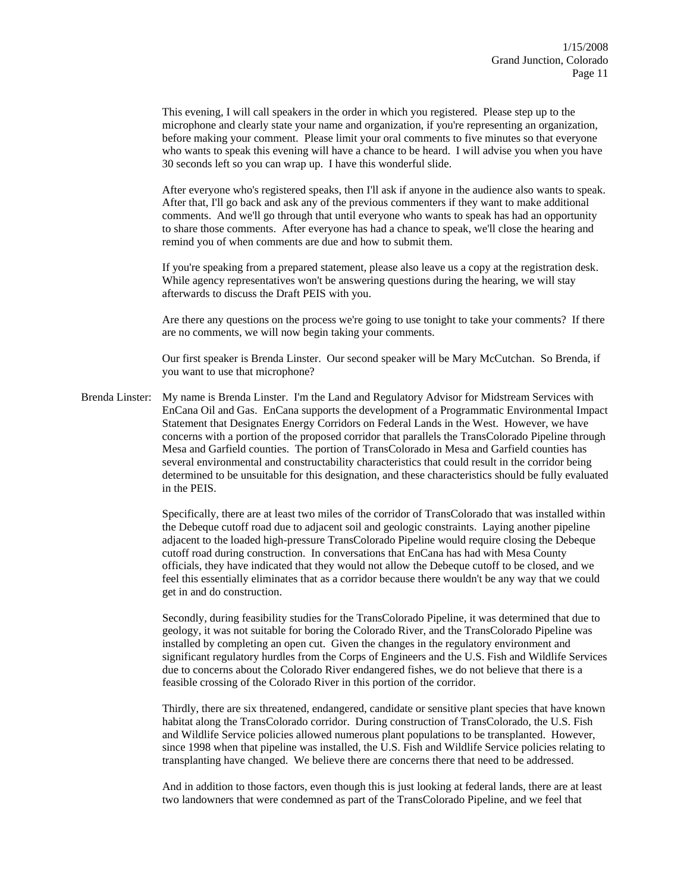This evening, I will call speakers in the order in which you registered. Please step up to the microphone and clearly state your name and organization, if you're representing an organization, before making your comment. Please limit your oral comments to five minutes so that everyone who wants to speak this evening will have a chance to be heard. I will advise you when you have 30 seconds left so you can wrap up. I have this wonderful slide.

After everyone who's registered speaks, then I'll ask if anyone in the audience also wants to speak. After that, I'll go back and ask any of the previous commenters if they want to make additional comments. And we'll go through that until everyone who wants to speak has had an opportunity to share those comments. After everyone has had a chance to speak, we'll close the hearing and remind you of when comments are due and how to submit them.

If you're speaking from a prepared statement, please also leave us a copy at the registration desk. While agency representatives won't be answering questions during the hearing, we will stay afterwards to discuss the Draft PEIS with you.

Are there any questions on the process we're going to use tonight to take your comments? If there are no comments, we will now begin taking your comments.

Our first speaker is Brenda Linster. Our second speaker will be Mary McCutchan. So Brenda, if you want to use that microphone?

Brenda Linster: My name is Brenda Linster. I'm the Land and Regulatory Advisor for Midstream Services with EnCana Oil and Gas. EnCana supports the development of a Programmatic Environmental Impact Statement that Designates Energy Corridors on Federal Lands in the West. However, we have concerns with a portion of the proposed corridor that parallels the TransColorado Pipeline through Mesa and Garfield counties. The portion of TransColorado in Mesa and Garfield counties has several environmental and constructability characteristics that could result in the corridor being determined to be unsuitable for this designation, and these characteristics should be fully evaluated in the PEIS.

> Specifically, there are at least two miles of the corridor of TransColorado that was installed within the Debeque cutoff road due to adjacent soil and geologic constraints. Laying another pipeline adjacent to the loaded high-pressure TransColorado Pipeline would require closing the Debeque cutoff road during construction. In conversations that EnCana has had with Mesa County officials, they have indicated that they would not allow the Debeque cutoff to be closed, and we feel this essentially eliminates that as a corridor because there wouldn't be any way that we could get in and do construction.

> Secondly, during feasibility studies for the TransColorado Pipeline, it was determined that due to geology, it was not suitable for boring the Colorado River, and the TransColorado Pipeline was installed by completing an open cut. Given the changes in the regulatory environment and significant regulatory hurdles from the Corps of Engineers and the U.S. Fish and Wildlife Services due to concerns about the Colorado River endangered fishes, we do not believe that there is a feasible crossing of the Colorado River in this portion of the corridor.

> Thirdly, there are six threatened, endangered, candidate or sensitive plant species that have known habitat along the TransColorado corridor. During construction of TransColorado, the U.S. Fish and Wildlife Service policies allowed numerous plant populations to be transplanted. However, since 1998 when that pipeline was installed, the U.S. Fish and Wildlife Service policies relating to transplanting have changed. We believe there are concerns there that need to be addressed.

> And in addition to those factors, even though this is just looking at federal lands, there are at least two landowners that were condemned as part of the TransColorado Pipeline, and we feel that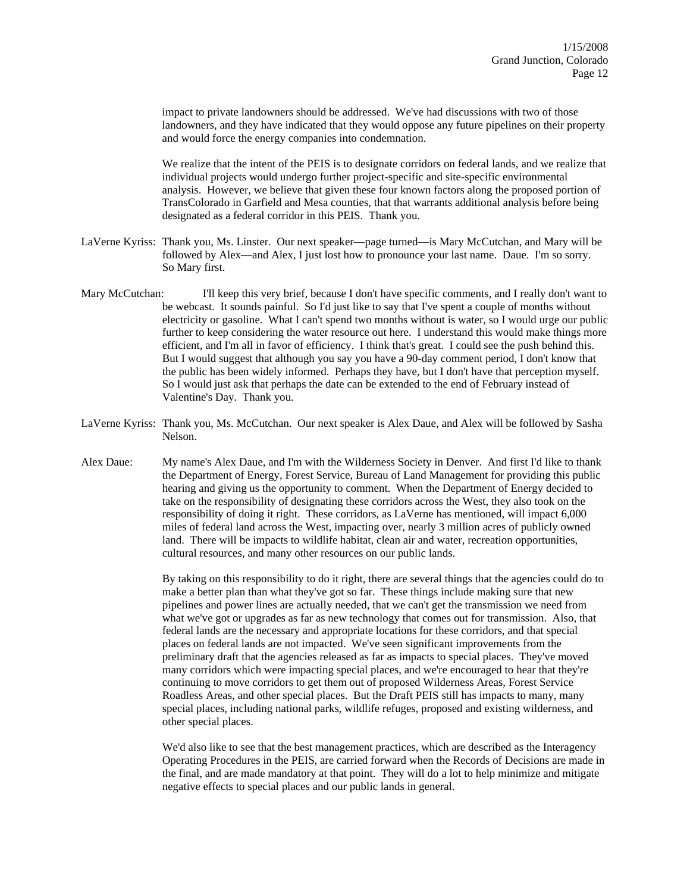impact to private landowners should be addressed. We've had discussions with two of those landowners, and they have indicated that they would oppose any future pipelines on their property and would force the energy companies into condemnation.

We realize that the intent of the PEIS is to designate corridors on federal lands, and we realize that individual projects would undergo further project-specific and site-specific environmental analysis. However, we believe that given these four known factors along the proposed portion of TransColorado in Garfield and Mesa counties, that that warrants additional analysis before being designated as a federal corridor in this PEIS. Thank you.

- LaVerne Kyriss: Thank you, Ms. Linster. Our next speaker—page turned—is Mary McCutchan, and Mary will be followed by Alex—and Alex, I just lost how to pronounce your last name. Daue. I'm so sorry. So Mary first.
- Mary McCutchan: I'll keep this very brief, because I don't have specific comments, and I really don't want to be webcast. It sounds painful. So I'd just like to say that I've spent a couple of months without electricity or gasoline. What I can't spend two months without is water, so I would urge our public further to keep considering the water resource out here. I understand this would make things more efficient, and I'm all in favor of efficiency. I think that's great. I could see the push behind this. But I would suggest that although you say you have a 90-day comment period, I don't know that the public has been widely informed. Perhaps they have, but I don't have that perception myself. So I would just ask that perhaps the date can be extended to the end of February instead of Valentine's Day. Thank you.
- LaVerne Kyriss: Thank you, Ms. McCutchan. Our next speaker is Alex Daue, and Alex will be followed by Sasha Nelson.
- Alex Daue: My name's Alex Daue, and I'm with the Wilderness Society in Denver. And first I'd like to thank the Department of Energy, Forest Service, Bureau of Land Management for providing this public hearing and giving us the opportunity to comment. When the Department of Energy decided to take on the responsibility of designating these corridors across the West, they also took on the responsibility of doing it right. These corridors, as LaVerne has mentioned, will impact 6,000 miles of federal land across the West, impacting over, nearly 3 million acres of publicly owned land. There will be impacts to wildlife habitat, clean air and water, recreation opportunities, cultural resources, and many other resources on our public lands.

By taking on this responsibility to do it right, there are several things that the agencies could do to make a better plan than what they've got so far. These things include making sure that new pipelines and power lines are actually needed, that we can't get the transmission we need from what we've got or upgrades as far as new technology that comes out for transmission. Also, that federal lands are the necessary and appropriate locations for these corridors, and that special places on federal lands are not impacted. We've seen significant improvements from the preliminary draft that the agencies released as far as impacts to special places. They've moved many corridors which were impacting special places, and we're encouraged to hear that they're continuing to move corridors to get them out of proposed Wilderness Areas, Forest Service Roadless Areas, and other special places. But the Draft PEIS still has impacts to many, many special places, including national parks, wildlife refuges, proposed and existing wilderness, and other special places.

We'd also like to see that the best management practices, which are described as the Interagency Operating Procedures in the PEIS, are carried forward when the Records of Decisions are made in the final, and are made mandatory at that point. They will do a lot to help minimize and mitigate negative effects to special places and our public lands in general.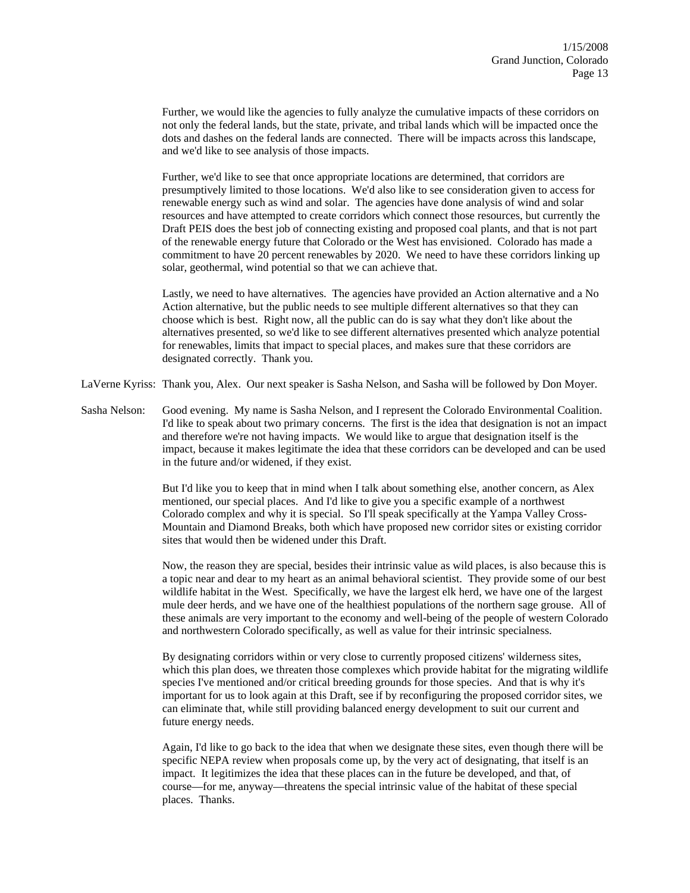Further, we would like the agencies to fully analyze the cumulative impacts of these corridors on not only the federal lands, but the state, private, and tribal lands which will be impacted once the dots and dashes on the federal lands are connected. There will be impacts across this landscape, and we'd like to see analysis of those impacts.

Further, we'd like to see that once appropriate locations are determined, that corridors are presumptively limited to those locations. We'd also like to see consideration given to access for renewable energy such as wind and solar. The agencies have done analysis of wind and solar resources and have attempted to create corridors which connect those resources, but currently the Draft PEIS does the best job of connecting existing and proposed coal plants, and that is not part of the renewable energy future that Colorado or the West has envisioned. Colorado has made a commitment to have 20 percent renewables by 2020. We need to have these corridors linking up solar, geothermal, wind potential so that we can achieve that.

Lastly, we need to have alternatives. The agencies have provided an Action alternative and a No Action alternative, but the public needs to see multiple different alternatives so that they can choose which is best. Right now, all the public can do is say what they don't like about the alternatives presented, so we'd like to see different alternatives presented which analyze potential for renewables, limits that impact to special places, and makes sure that these corridors are designated correctly. Thank you.

LaVerne Kyriss: Thank you, Alex. Our next speaker is Sasha Nelson, and Sasha will be followed by Don Moyer.

Sasha Nelson: Good evening. My name is Sasha Nelson, and I represent the Colorado Environmental Coalition. I'd like to speak about two primary concerns. The first is the idea that designation is not an impact and therefore we're not having impacts. We would like to argue that designation itself is the impact, because it makes legitimate the idea that these corridors can be developed and can be used in the future and/or widened, if they exist.

> But I'd like you to keep that in mind when I talk about something else, another concern, as Alex mentioned, our special places. And I'd like to give you a specific example of a northwest Colorado complex and why it is special. So I'll speak specifically at the Yampa Valley Cross-Mountain and Diamond Breaks, both which have proposed new corridor sites or existing corridor sites that would then be widened under this Draft.

Now, the reason they are special, besides their intrinsic value as wild places, is also because this is a topic near and dear to my heart as an animal behavioral scientist. They provide some of our best wildlife habitat in the West. Specifically, we have the largest elk herd, we have one of the largest mule deer herds, and we have one of the healthiest populations of the northern sage grouse. All of these animals are very important to the economy and well-being of the people of western Colorado and northwestern Colorado specifically, as well as value for their intrinsic specialness.

By designating corridors within or very close to currently proposed citizens' wilderness sites, which this plan does, we threaten those complexes which provide habitat for the migrating wildlife species I've mentioned and/or critical breeding grounds for those species. And that is why it's important for us to look again at this Draft, see if by reconfiguring the proposed corridor sites, we can eliminate that, while still providing balanced energy development to suit our current and future energy needs.

Again, I'd like to go back to the idea that when we designate these sites, even though there will be specific NEPA review when proposals come up, by the very act of designating, that itself is an impact. It legitimizes the idea that these places can in the future be developed, and that, of course—for me, anyway—threatens the special intrinsic value of the habitat of these special places. Thanks.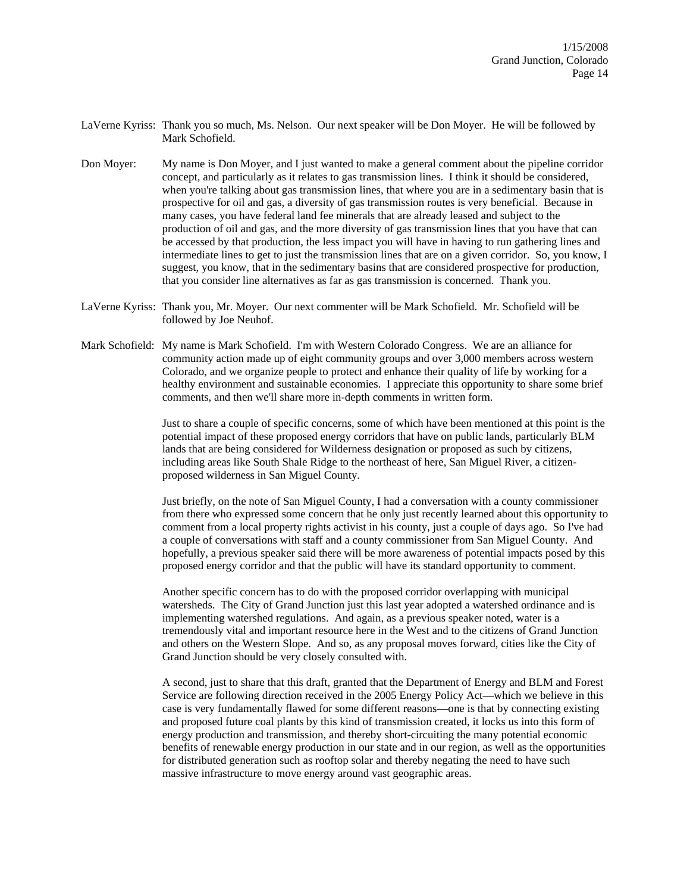- LaVerne Kyriss: Thank you so much, Ms. Nelson. Our next speaker will be Don Moyer. He will be followed by Mark Schofield.
- Don Moyer: My name is Don Moyer, and I just wanted to make a general comment about the pipeline corridor concept, and particularly as it relates to gas transmission lines. I think it should be considered, when you're talking about gas transmission lines, that where you are in a sedimentary basin that is prospective for oil and gas, a diversity of gas transmission routes is very beneficial. Because in many cases, you have federal land fee minerals that are already leased and subject to the production of oil and gas, and the more diversity of gas transmission lines that you have that can be accessed by that production, the less impact you will have in having to run gathering lines and intermediate lines to get to just the transmission lines that are on a given corridor. So, you know, I suggest, you know, that in the sedimentary basins that are considered prospective for production, that you consider line alternatives as far as gas transmission is concerned. Thank you.
- LaVerne Kyriss: Thank you, Mr. Moyer. Our next commenter will be Mark Schofield. Mr. Schofield will be followed by Joe Neuhof.
- Mark Schofield: My name is Mark Schofield. I'm with Western Colorado Congress. We are an alliance for community action made up of eight community groups and over 3,000 members across western Colorado, and we organize people to protect and enhance their quality of life by working for a healthy environment and sustainable economies. I appreciate this opportunity to share some brief comments, and then we'll share more in-depth comments in written form.

Just to share a couple of specific concerns, some of which have been mentioned at this point is the potential impact of these proposed energy corridors that have on public lands, particularly BLM lands that are being considered for Wilderness designation or proposed as such by citizens, including areas like South Shale Ridge to the northeast of here, San Miguel River, a citizenproposed wilderness in San Miguel County.

Just briefly, on the note of San Miguel County, I had a conversation with a county commissioner from there who expressed some concern that he only just recently learned about this opportunity to comment from a local property rights activist in his county, just a couple of days ago. So I've had a couple of conversations with staff and a county commissioner from San Miguel County. And hopefully, a previous speaker said there will be more awareness of potential impacts posed by this proposed energy corridor and that the public will have its standard opportunity to comment.

Another specific concern has to do with the proposed corridor overlapping with municipal watersheds. The City of Grand Junction just this last year adopted a watershed ordinance and is implementing watershed regulations. And again, as a previous speaker noted, water is a tremendously vital and important resource here in the West and to the citizens of Grand Junction and others on the Western Slope. And so, as any proposal moves forward, cities like the City of Grand Junction should be very closely consulted with.

A second, just to share that this draft, granted that the Department of Energy and BLM and Forest Service are following direction received in the 2005 Energy Policy Act—which we believe in this case is very fundamentally flawed for some different reasons—one is that by connecting existing and proposed future coal plants by this kind of transmission created, it locks us into this form of energy production and transmission, and thereby short-circuiting the many potential economic benefits of renewable energy production in our state and in our region, as well as the opportunities for distributed generation such as rooftop solar and thereby negating the need to have such massive infrastructure to move energy around vast geographic areas.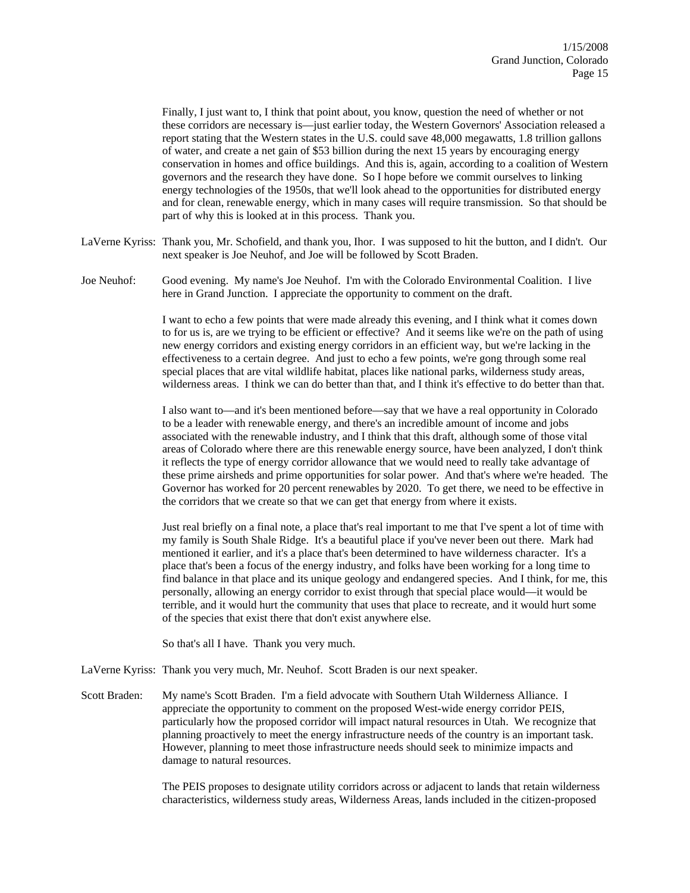Finally, I just want to, I think that point about, you know, question the need of whether or not these corridors are necessary is—just earlier today, the Western Governors' Association released a report stating that the Western states in the U.S. could save 48,000 megawatts, 1.8 trillion gallons of water, and create a net gain of \$53 billion during the next 15 years by encouraging energy conservation in homes and office buildings. And this is, again, according to a coalition of Western governors and the research they have done. So I hope before we commit ourselves to linking energy technologies of the 1950s, that we'll look ahead to the opportunities for distributed energy and for clean, renewable energy, which in many cases will require transmission. So that should be part of why this is looked at in this process. Thank you.

- LaVerne Kyriss: Thank you, Mr. Schofield, and thank you, Ihor. I was supposed to hit the button, and I didn't. Our next speaker is Joe Neuhof, and Joe will be followed by Scott Braden.
- Joe Neuhof: Good evening. My name's Joe Neuhof. I'm with the Colorado Environmental Coalition. I live here in Grand Junction. I appreciate the opportunity to comment on the draft.

I want to echo a few points that were made already this evening, and I think what it comes down to for us is, are we trying to be efficient or effective? And it seems like we're on the path of using new energy corridors and existing energy corridors in an efficient way, but we're lacking in the effectiveness to a certain degree. And just to echo a few points, we're gong through some real special places that are vital wildlife habitat, places like national parks, wilderness study areas, wilderness areas. I think we can do better than that, and I think it's effective to do better than that.

I also want to—and it's been mentioned before—say that we have a real opportunity in Colorado to be a leader with renewable energy, and there's an incredible amount of income and jobs associated with the renewable industry, and I think that this draft, although some of those vital areas of Colorado where there are this renewable energy source, have been analyzed, I don't think it reflects the type of energy corridor allowance that we would need to really take advantage of these prime airsheds and prime opportunities for solar power. And that's where we're headed. The Governor has worked for 20 percent renewables by 2020. To get there, we need to be effective in the corridors that we create so that we can get that energy from where it exists.

Just real briefly on a final note, a place that's real important to me that I've spent a lot of time with my family is South Shale Ridge. It's a beautiful place if you've never been out there. Mark had mentioned it earlier, and it's a place that's been determined to have wilderness character. It's a place that's been a focus of the energy industry, and folks have been working for a long time to find balance in that place and its unique geology and endangered species. And I think, for me, this personally, allowing an energy corridor to exist through that special place would—it would be terrible, and it would hurt the community that uses that place to recreate, and it would hurt some of the species that exist there that don't exist anywhere else.

So that's all I have. Thank you very much.

LaVerne Kyriss: Thank you very much, Mr. Neuhof. Scott Braden is our next speaker.

Scott Braden: My name's Scott Braden. I'm a field advocate with Southern Utah Wilderness Alliance. I appreciate the opportunity to comment on the proposed West-wide energy corridor PEIS, particularly how the proposed corridor will impact natural resources in Utah. We recognize that planning proactively to meet the energy infrastructure needs of the country is an important task. However, planning to meet those infrastructure needs should seek to minimize impacts and damage to natural resources.

> The PEIS proposes to designate utility corridors across or adjacent to lands that retain wilderness characteristics, wilderness study areas, Wilderness Areas, lands included in the citizen-proposed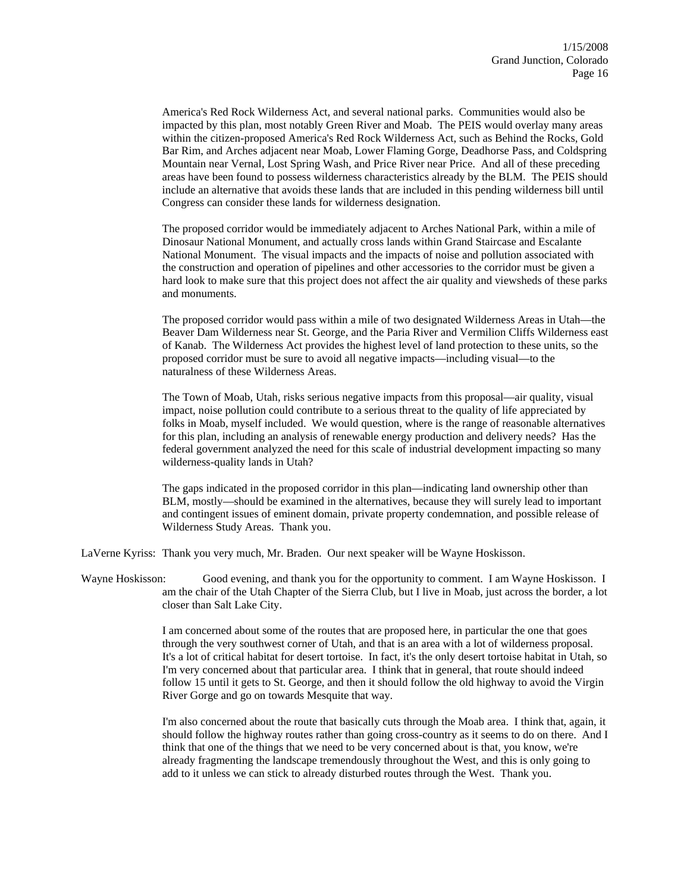America's Red Rock Wilderness Act, and several national parks. Communities would also be impacted by this plan, most notably Green River and Moab. The PEIS would overlay many areas within the citizen-proposed America's Red Rock Wilderness Act, such as Behind the Rocks, Gold Bar Rim, and Arches adjacent near Moab, Lower Flaming Gorge, Deadhorse Pass, and Coldspring Mountain near Vernal, Lost Spring Wash, and Price River near Price. And all of these preceding areas have been found to possess wilderness characteristics already by the BLM. The PEIS should include an alternative that avoids these lands that are included in this pending wilderness bill until Congress can consider these lands for wilderness designation.

The proposed corridor would be immediately adjacent to Arches National Park, within a mile of Dinosaur National Monument, and actually cross lands within Grand Staircase and Escalante National Monument. The visual impacts and the impacts of noise and pollution associated with the construction and operation of pipelines and other accessories to the corridor must be given a hard look to make sure that this project does not affect the air quality and viewsheds of these parks and monuments.

The proposed corridor would pass within a mile of two designated Wilderness Areas in Utah—the Beaver Dam Wilderness near St. George, and the Paria River and Vermilion Cliffs Wilderness east of Kanab. The Wilderness Act provides the highest level of land protection to these units, so the proposed corridor must be sure to avoid all negative impacts—including visual—to the naturalness of these Wilderness Areas.

The Town of Moab, Utah, risks serious negative impacts from this proposal—air quality, visual impact, noise pollution could contribute to a serious threat to the quality of life appreciated by folks in Moab, myself included. We would question, where is the range of reasonable alternatives for this plan, including an analysis of renewable energy production and delivery needs? Has the federal government analyzed the need for this scale of industrial development impacting so many wilderness-quality lands in Utah?

The gaps indicated in the proposed corridor in this plan—indicating land ownership other than BLM, mostly—should be examined in the alternatives, because they will surely lead to important and contingent issues of eminent domain, private property condemnation, and possible release of Wilderness Study Areas. Thank you.

LaVerne Kyriss: Thank you very much, Mr. Braden. Our next speaker will be Wayne Hoskisson.

Wayne Hoskisson: Good evening, and thank you for the opportunity to comment. I am Wayne Hoskisson. I am the chair of the Utah Chapter of the Sierra Club, but I live in Moab, just across the border, a lot closer than Salt Lake City.

> I am concerned about some of the routes that are proposed here, in particular the one that goes through the very southwest corner of Utah, and that is an area with a lot of wilderness proposal. It's a lot of critical habitat for desert tortoise. In fact, it's the only desert tortoise habitat in Utah, so I'm very concerned about that particular area. I think that in general, that route should indeed follow 15 until it gets to St. George, and then it should follow the old highway to avoid the Virgin River Gorge and go on towards Mesquite that way.

> I'm also concerned about the route that basically cuts through the Moab area. I think that, again, it should follow the highway routes rather than going cross-country as it seems to do on there. And I think that one of the things that we need to be very concerned about is that, you know, we're already fragmenting the landscape tremendously throughout the West, and this is only going to add to it unless we can stick to already disturbed routes through the West. Thank you.